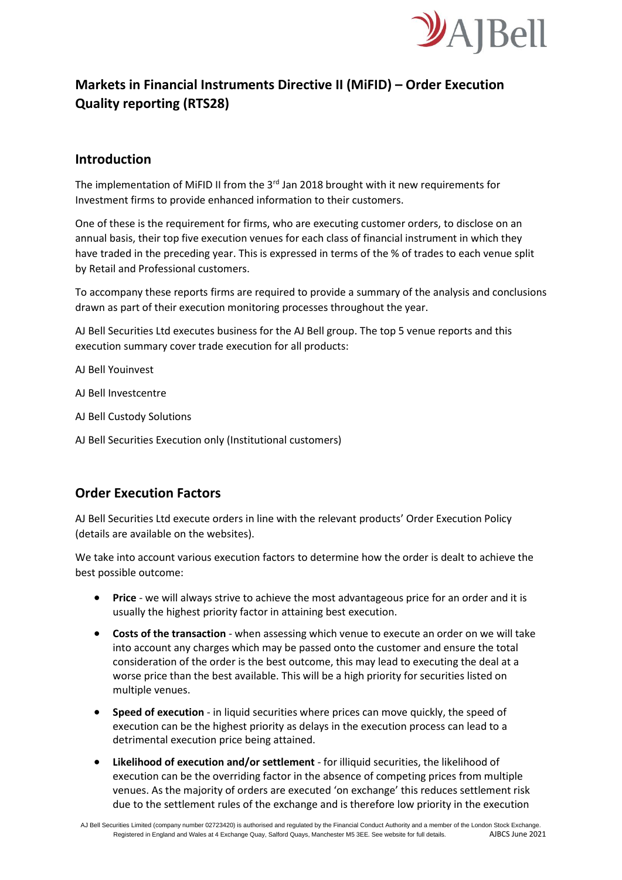

# **Markets in Financial Instruments Directive II (MiFID) – Order Execution Quality reporting (RTS28)**

### **Introduction**

The implementation of MiFID II from the  $3<sup>rd</sup>$  Jan 2018 brought with it new requirements for Investment firms to provide enhanced information to their customers.

One of these is the requirement for firms, who are executing customer orders, to disclose on an annual basis, their top five execution venues for each class of financial instrument in which they have traded in the preceding year. This is expressed in terms of the % of trades to each venue split by Retail and Professional customers.

To accompany these reports firms are required to provide a summary of the analysis and conclusions drawn as part of their execution monitoring processes throughout the year.

AJ Bell Securities Ltd executes business for the AJ Bell group. The top 5 venue reports and this execution summary cover trade execution for all products:

AJ Bell Youinvest

AJ Bell Investcentre

- AJ Bell Custody Solutions
- AJ Bell Securities Execution only (Institutional customers)

### **Order Execution Factors**

AJ Bell Securities Ltd execute orders in line with the relevant products' Order Execution Policy (details are available on the websites).

We take into account various execution factors to determine how the order is dealt to achieve the best possible outcome:

- **Price** we will always strive to achieve the most advantageous price for an order and it is usually the highest priority factor in attaining best execution.
- **Costs of the transaction** when assessing which venue to execute an order on we will take into account any charges which may be passed onto the customer and ensure the total consideration of the order is the best outcome, this may lead to executing the deal at a worse price than the best available. This will be a high priority for securities listed on multiple venues.
- **Speed of execution** in liquid securities where prices can move quickly, the speed of execution can be the highest priority as delays in the execution process can lead to a detrimental execution price being attained.
- **Likelihood of execution and/or settlement** for illiquid securities, the likelihood of execution can be the overriding factor in the absence of competing prices from multiple venues. As the majority of orders are executed 'on exchange' this reduces settlement risk due to the settlement rules of the exchange and is therefore low priority in the execution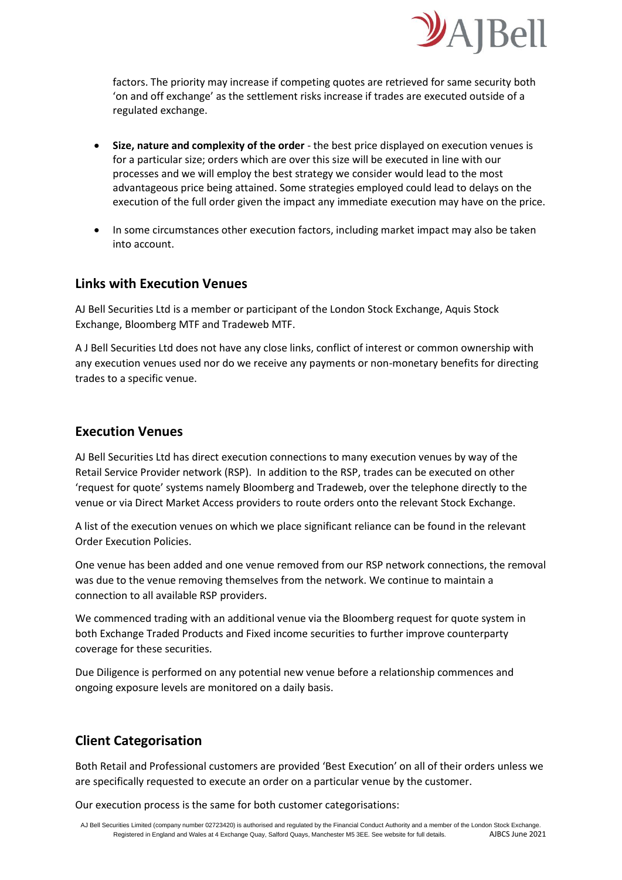

factors. The priority may increase if competing quotes are retrieved for same security both 'on and off exchange' as the settlement risks increase if trades are executed outside of a regulated exchange.

- **Size, nature and complexity of the order** the best price displayed on execution venues is for a particular size; orders which are over this size will be executed in line with our processes and we will employ the best strategy we consider would lead to the most advantageous price being attained. Some strategies employed could lead to delays on the execution of the full order given the impact any immediate execution may have on the price.
- In some circumstances other execution factors, including market impact may also be taken into account.

### **Links with Execution Venues**

AJ Bell Securities Ltd is a member or participant of the London Stock Exchange, Aquis Stock Exchange, Bloomberg MTF and Tradeweb MTF.

A J Bell Securities Ltd does not have any close links, conflict of interest or common ownership with any execution venues used nor do we receive any payments or non-monetary benefits for directing trades to a specific venue.

### **Execution Venues**

AJ Bell Securities Ltd has direct execution connections to many execution venues by way of the Retail Service Provider network (RSP). In addition to the RSP, trades can be executed on other 'request for quote' systems namely Bloomberg and Tradeweb, over the telephone directly to the venue or via Direct Market Access providers to route orders onto the relevant Stock Exchange.

A list of the execution venues on which we place significant reliance can be found in the relevant Order Execution Policies.

One venue has been added and one venue removed from our RSP network connections, the removal was due to the venue removing themselves from the network. We continue to maintain a connection to all available RSP providers.

We commenced trading with an additional venue via the Bloomberg request for quote system in both Exchange Traded Products and Fixed income securities to further improve counterparty coverage for these securities.

Due Diligence is performed on any potential new venue before a relationship commences and ongoing exposure levels are monitored on a daily basis.

## **Client Categorisation**

Both Retail and Professional customers are provided 'Best Execution' on all of their orders unless we are specifically requested to execute an order on a particular venue by the customer.

Our execution process is the same for both customer categorisations: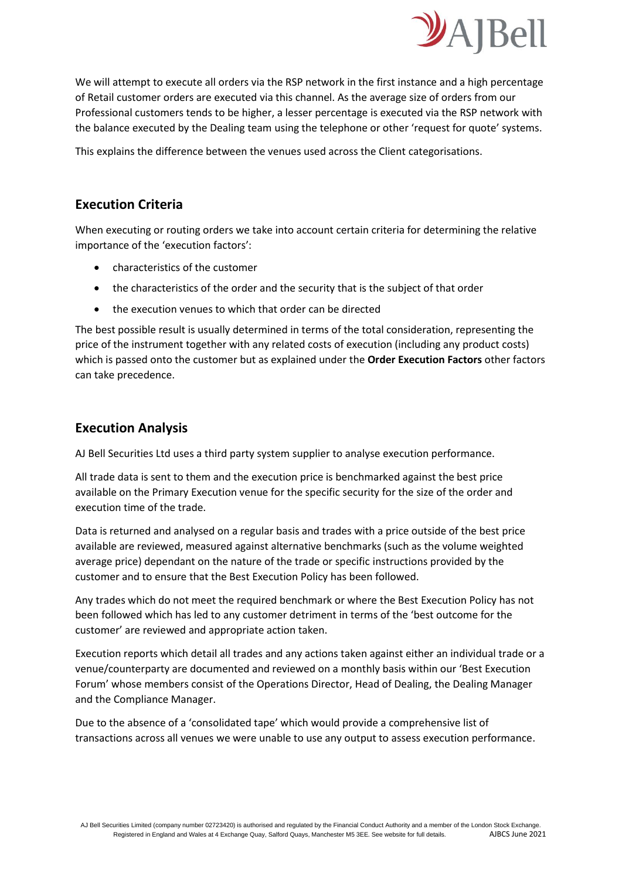

We will attempt to execute all orders via the RSP network in the first instance and a high percentage of Retail customer orders are executed via this channel. As the average size of orders from our Professional customers tends to be higher, a lesser percentage is executed via the RSP network with the balance executed by the Dealing team using the telephone or other 'request for quote' systems.

This explains the difference between the venues used across the Client categorisations.

## **Execution Criteria**

When executing or routing orders we take into account certain criteria for determining the relative importance of the 'execution factors':

- characteristics of the customer
- the characteristics of the order and the security that is the subject of that order
- the execution venues to which that order can be directed

The best possible result is usually determined in terms of the total consideration, representing the price of the instrument together with any related costs of execution (including any product costs) which is passed onto the customer but as explained under the **Order Execution Factors** other factors can take precedence.

## **Execution Analysis**

AJ Bell Securities Ltd uses a third party system supplier to analyse execution performance.

All trade data is sent to them and the execution price is benchmarked against the best price available on the Primary Execution venue for the specific security for the size of the order and execution time of the trade.

Data is returned and analysed on a regular basis and trades with a price outside of the best price available are reviewed, measured against alternative benchmarks (such as the volume weighted average price) dependant on the nature of the trade or specific instructions provided by the customer and to ensure that the Best Execution Policy has been followed.

Any trades which do not meet the required benchmark or where the Best Execution Policy has not been followed which has led to any customer detriment in terms of the 'best outcome for the customer' are reviewed and appropriate action taken.

Execution reports which detail all trades and any actions taken against either an individual trade or a venue/counterparty are documented and reviewed on a monthly basis within our 'Best Execution Forum' whose members consist of the Operations Director, Head of Dealing, the Dealing Manager and the Compliance Manager.

Due to the absence of a 'consolidated tape' which would provide a comprehensive list of transactions across all venues we were unable to use any output to assess execution performance.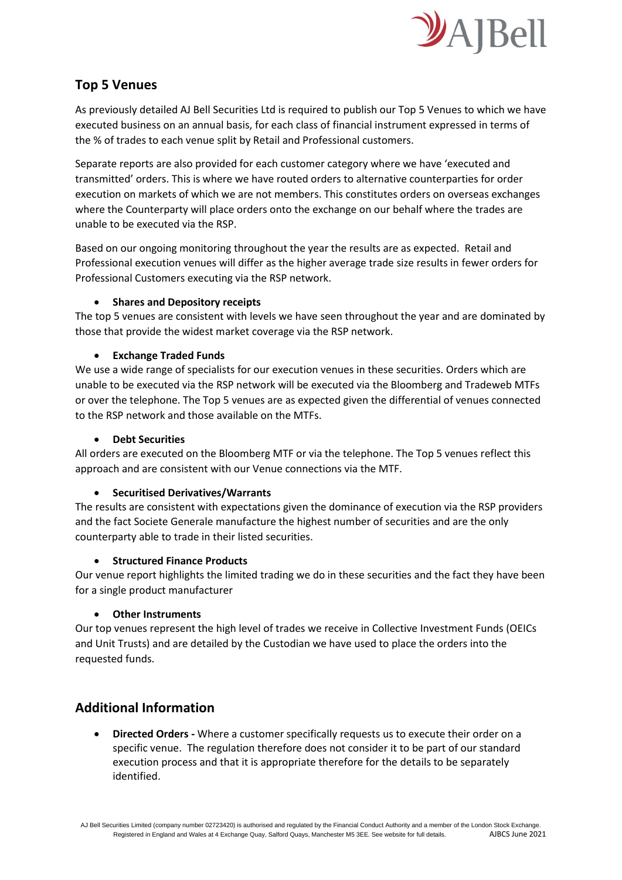

## **Top 5 Venues**

As previously detailed AJ Bell Securities Ltd is required to publish our Top 5 Venues to which we have executed business on an annual basis, for each class of financial instrument expressed in terms of the % of trades to each venue split by Retail and Professional customers.

Separate reports are also provided for each customer category where we have 'executed and transmitted' orders. This is where we have routed orders to alternative counterparties for order execution on markets of which we are not members. This constitutes orders on overseas exchanges where the Counterparty will place orders onto the exchange on our behalf where the trades are unable to be executed via the RSP.

Based on our ongoing monitoring throughout the year the results are as expected. Retail and Professional execution venues will differ as the higher average trade size results in fewer orders for Professional Customers executing via the RSP network.

### • **Shares and Depository receipts**

The top 5 venues are consistent with levels we have seen throughout the year and are dominated by those that provide the widest market coverage via the RSP network.

### • **Exchange Traded Funds**

We use a wide range of specialists for our execution venues in these securities. Orders which are unable to be executed via the RSP network will be executed via the Bloomberg and Tradeweb MTFs or over the telephone. The Top 5 venues are as expected given the differential of venues connected to the RSP network and those available on the MTFs.

#### • **Debt Securities**

All orders are executed on the Bloomberg MTF or via the telephone. The Top 5 venues reflect this approach and are consistent with our Venue connections via the MTF.

#### • **Securitised Derivatives/Warrants**

The results are consistent with expectations given the dominance of execution via the RSP providers and the fact Societe Generale manufacture the highest number of securities and are the only counterparty able to trade in their listed securities.

#### • **Structured Finance Products**

Our venue report highlights the limited trading we do in these securities and the fact they have been for a single product manufacturer

#### • **Other Instruments**

Our top venues represent the high level of trades we receive in Collective Investment Funds (OEICs and Unit Trusts) and are detailed by the Custodian we have used to place the orders into the requested funds.

## **Additional Information**

• **Directed Orders -** Where a customer specifically requests us to execute their order on a specific venue. The regulation therefore does not consider it to be part of our standard execution process and that it is appropriate therefore for the details to be separately identified.